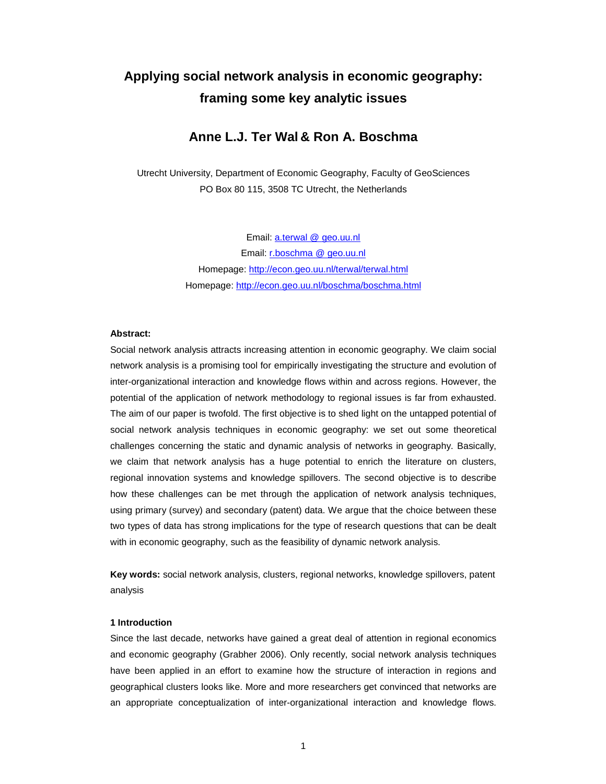# **Applying social network analysis in economic geography: framing some key analytic issues**

# **Anne L.J. Ter Wal & Ron A. Boschma**

Utrecht University, Department of Economic Geography, Faculty of GeoSciences PO Box 80 115, 3508 TC Utrecht, the Netherlands

> Email: a.terwal @ geo.uu.nl Email: r.boschma @ geo.uu.nl Homepage: http://econ.geo.uu.nl/terwal/terwal.html Homepage: http://econ.geo.uu.nl/boschma/boschma.html

## **Abstract:**

Social network analysis attracts increasing attention in economic geography. We claim social network analysis is a promising tool for empirically investigating the structure and evolution of inter-organizational interaction and knowledge flows within and across regions. However, the potential of the application of network methodology to regional issues is far from exhausted. The aim of our paper is twofold. The first objective is to shed light on the untapped potential of social network analysis techniques in economic geography: we set out some theoretical challenges concerning the static and dynamic analysis of networks in geography. Basically, we claim that network analysis has a huge potential to enrich the literature on clusters, regional innovation systems and knowledge spillovers. The second objective is to describe how these challenges can be met through the application of network analysis techniques, using primary (survey) and secondary (patent) data. We argue that the choice between these two types of data has strong implications for the type of research questions that can be dealt with in economic geography, such as the feasibility of dynamic network analysis.

**Key words:** social network analysis, clusters, regional networks, knowledge spillovers, patent analysis

#### **1 Introduction**

Since the last decade, networks have gained a great deal of attention in regional economics and economic geography (Grabher 2006). Only recently, social network analysis techniques have been applied in an effort to examine how the structure of interaction in regions and geographical clusters looks like. More and more researchers get convinced that networks are an appropriate conceptualization of inter-organizational interaction and knowledge flows.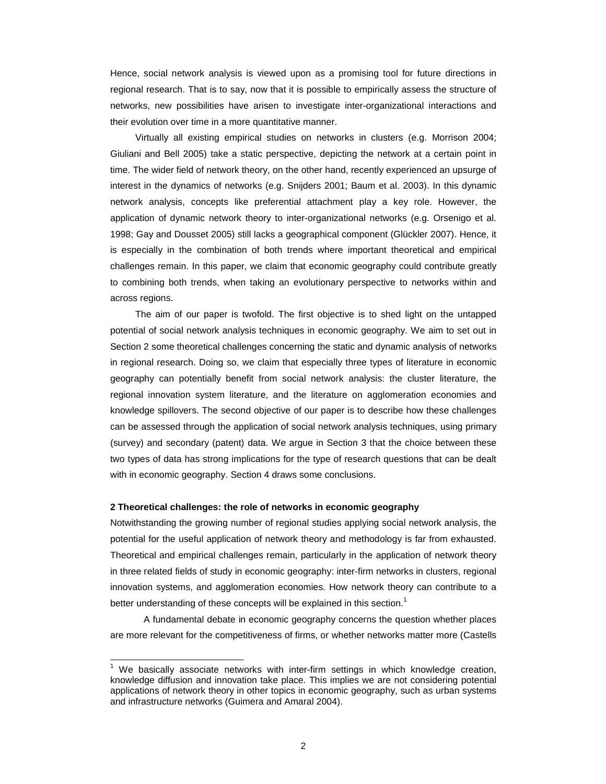Hence, social network analysis is viewed upon as a promising tool for future directions in regional research. That is to say, now that it is possible to empirically assess the structure of networks, new possibilities have arisen to investigate inter-organizational interactions and their evolution over time in a more quantitative manner.

Virtually all existing empirical studies on networks in clusters (e.g. Morrison 2004; Giuliani and Bell 2005) take a static perspective, depicting the network at a certain point in time. The wider field of network theory, on the other hand, recently experienced an upsurge of interest in the dynamics of networks (e.g. Snijders 2001; Baum et al. 2003). In this dynamic network analysis, concepts like preferential attachment play a key role. However, the application of dynamic network theory to inter-organizational networks (e.g. Orsenigo et al. 1998; Gay and Dousset 2005) still lacks a geographical component (Glückler 2007). Hence, it is especially in the combination of both trends where important theoretical and empirical challenges remain. In this paper, we claim that economic geography could contribute greatly to combining both trends, when taking an evolutionary perspective to networks within and across regions.

The aim of our paper is twofold. The first objective is to shed light on the untapped potential of social network analysis techniques in economic geography. We aim to set out in Section 2 some theoretical challenges concerning the static and dynamic analysis of networks in regional research. Doing so, we claim that especially three types of literature in economic geography can potentially benefit from social network analysis: the cluster literature, the regional innovation system literature, and the literature on agglomeration economies and knowledge spillovers. The second objective of our paper is to describe how these challenges can be assessed through the application of social network analysis techniques, using primary (survey) and secondary (patent) data. We argue in Section 3 that the choice between these two types of data has strong implications for the type of research questions that can be dealt with in economic geography. Section 4 draws some conclusions.

#### **2 Theoretical challenges: the role of networks in economic geography**

Notwithstanding the growing number of regional studies applying social network analysis, the potential for the useful application of network theory and methodology is far from exhausted. Theoretical and empirical challenges remain, particularly in the application of network theory in three related fields of study in economic geography: inter-firm networks in clusters, regional innovation systems, and agglomeration economies. How network theory can contribute to a better understanding of these concepts will be explained in this section.<sup>1</sup>

A fundamental debate in economic geography concerns the question whether places are more relevant for the competitiveness of firms, or whether networks matter more (Castells

 $1$  We basically associate networks with inter-firm settings in which knowledge creation, knowledge diffusion and innovation take place. This implies we are not considering potential applications of network theory in other topics in economic geography, such as urban systems and infrastructure networks (Guimera and Amaral 2004).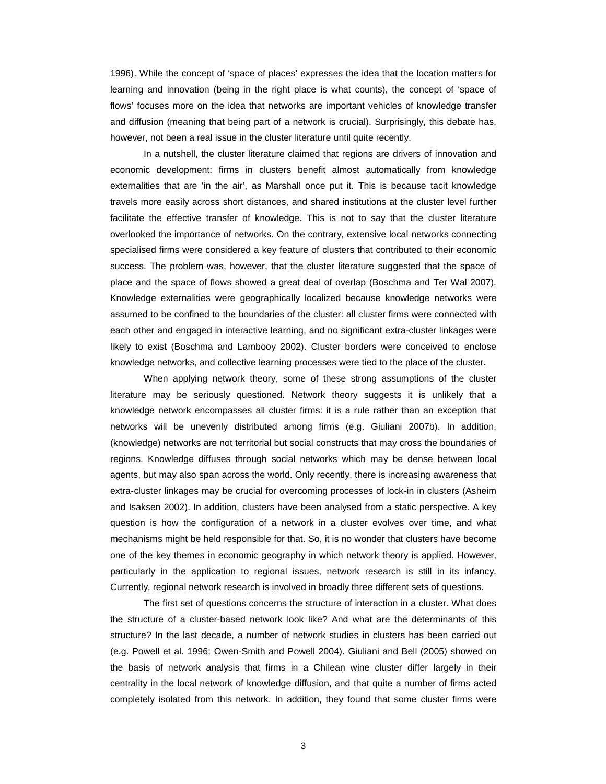1996). While the concept of 'space of places' expresses the idea that the location matters for learning and innovation (being in the right place is what counts), the concept of 'space of flows' focuses more on the idea that networks are important vehicles of knowledge transfer and diffusion (meaning that being part of a network is crucial). Surprisingly, this debate has, however, not been a real issue in the cluster literature until quite recently.

In a nutshell, the cluster literature claimed that regions are drivers of innovation and economic development: firms in clusters benefit almost automatically from knowledge externalities that are 'in the air', as Marshall once put it. This is because tacit knowledge travels more easily across short distances, and shared institutions at the cluster level further facilitate the effective transfer of knowledge. This is not to say that the cluster literature overlooked the importance of networks. On the contrary, extensive local networks connecting specialised firms were considered a key feature of clusters that contributed to their economic success. The problem was, however, that the cluster literature suggested that the space of place and the space of flows showed a great deal of overlap (Boschma and Ter Wal 2007). Knowledge externalities were geographically localized because knowledge networks were assumed to be confined to the boundaries of the cluster: all cluster firms were connected with each other and engaged in interactive learning, and no significant extra-cluster linkages were likely to exist (Boschma and Lambooy 2002). Cluster borders were conceived to enclose knowledge networks, and collective learning processes were tied to the place of the cluster.

When applying network theory, some of these strong assumptions of the cluster literature may be seriously questioned. Network theory suggests it is unlikely that a knowledge network encompasses all cluster firms: it is a rule rather than an exception that networks will be unevenly distributed among firms (e.g. Giuliani 2007b). In addition, (knowledge) networks are not territorial but social constructs that may cross the boundaries of regions. Knowledge diffuses through social networks which may be dense between local agents, but may also span across the world. Only recently, there is increasing awareness that extra-cluster linkages may be crucial for overcoming processes of lock-in in clusters (Asheim and Isaksen 2002). In addition, clusters have been analysed from a static perspective. A key question is how the configuration of a network in a cluster evolves over time, and what mechanisms might be held responsible for that. So, it is no wonder that clusters have become one of the key themes in economic geography in which network theory is applied. However, particularly in the application to regional issues, network research is still in its infancy. Currently, regional network research is involved in broadly three different sets of questions.

The first set of questions concerns the structure of interaction in a cluster. What does the structure of a cluster-based network look like? And what are the determinants of this structure? In the last decade, a number of network studies in clusters has been carried out (e.g. Powell et al. 1996; Owen-Smith and Powell 2004). Giuliani and Bell (2005) showed on the basis of network analysis that firms in a Chilean wine cluster differ largely in their centrality in the local network of knowledge diffusion, and that quite a number of firms acted completely isolated from this network. In addition, they found that some cluster firms were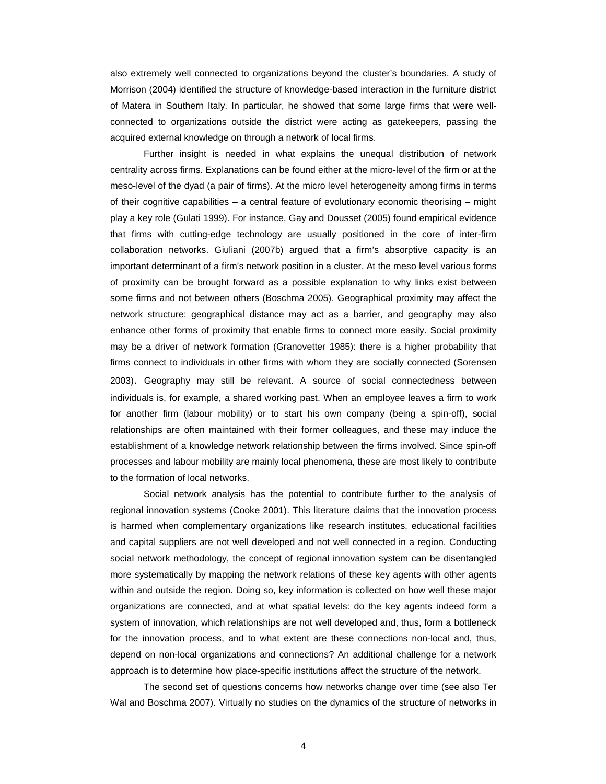also extremely well connected to organizations beyond the cluster's boundaries. A study of Morrison (2004) identified the structure of knowledge-based interaction in the furniture district of Matera in Southern Italy. In particular, he showed that some large firms that were wellconnected to organizations outside the district were acting as gatekeepers, passing the acquired external knowledge on through a network of local firms.

Further insight is needed in what explains the unequal distribution of network centrality across firms. Explanations can be found either at the micro-level of the firm or at the meso-level of the dyad (a pair of firms). At the micro level heterogeneity among firms in terms of their cognitive capabilities – a central feature of evolutionary economic theorising – might play a key role (Gulati 1999). For instance, Gay and Dousset (2005) found empirical evidence that firms with cutting-edge technology are usually positioned in the core of inter-firm collaboration networks. Giuliani (2007b) argued that a firm's absorptive capacity is an important determinant of a firm's network position in a cluster. At the meso level various forms of proximity can be brought forward as a possible explanation to why links exist between some firms and not between others (Boschma 2005). Geographical proximity may affect the network structure: geographical distance may act as a barrier, and geography may also enhance other forms of proximity that enable firms to connect more easily. Social proximity may be a driver of network formation (Granovetter 1985): there is a higher probability that firms connect to individuals in other firms with whom they are socially connected (Sorensen 2003). Geography may still be relevant. A source of social connectedness between individuals is, for example, a shared working past. When an employee leaves a firm to work for another firm (labour mobility) or to start his own company (being a spin-off), social relationships are often maintained with their former colleagues, and these may induce the establishment of a knowledge network relationship between the firms involved. Since spin-off processes and labour mobility are mainly local phenomena, these are most likely to contribute to the formation of local networks.

Social network analysis has the potential to contribute further to the analysis of regional innovation systems (Cooke 2001). This literature claims that the innovation process is harmed when complementary organizations like research institutes, educational facilities and capital suppliers are not well developed and not well connected in a region. Conducting social network methodology, the concept of regional innovation system can be disentangled more systematically by mapping the network relations of these key agents with other agents within and outside the region. Doing so, key information is collected on how well these major organizations are connected, and at what spatial levels: do the key agents indeed form a system of innovation, which relationships are not well developed and, thus, form a bottleneck for the innovation process, and to what extent are these connections non-local and, thus, depend on non-local organizations and connections? An additional challenge for a network approach is to determine how place-specific institutions affect the structure of the network.

The second set of questions concerns how networks change over time (see also Ter Wal and Boschma 2007). Virtually no studies on the dynamics of the structure of networks in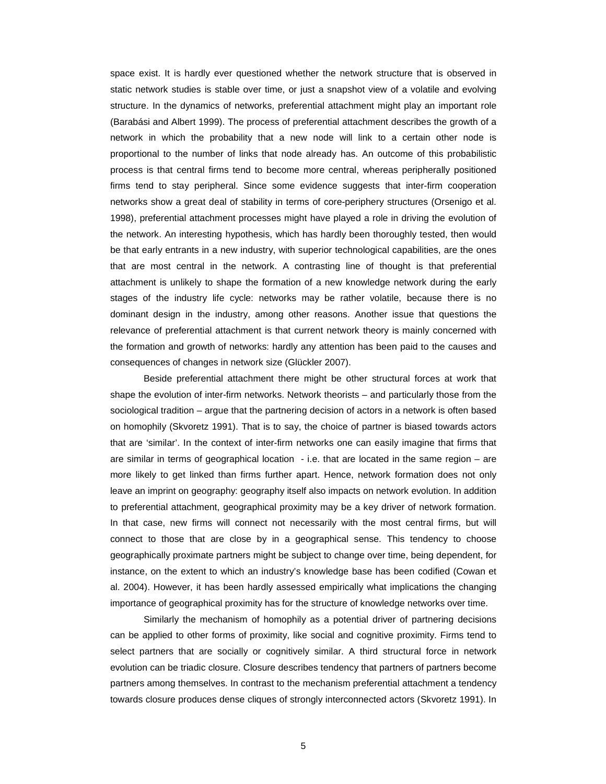space exist. It is hardly ever questioned whether the network structure that is observed in static network studies is stable over time, or just a snapshot view of a volatile and evolving structure. In the dynamics of networks, preferential attachment might play an important role (Barabási and Albert 1999). The process of preferential attachment describes the growth of a network in which the probability that a new node will link to a certain other node is proportional to the number of links that node already has. An outcome of this probabilistic process is that central firms tend to become more central, whereas peripherally positioned firms tend to stay peripheral. Since some evidence suggests that inter-firm cooperation networks show a great deal of stability in terms of core-periphery structures (Orsenigo et al. 1998), preferential attachment processes might have played a role in driving the evolution of the network. An interesting hypothesis, which has hardly been thoroughly tested, then would be that early entrants in a new industry, with superior technological capabilities, are the ones that are most central in the network. A contrasting line of thought is that preferential attachment is unlikely to shape the formation of a new knowledge network during the early stages of the industry life cycle: networks may be rather volatile, because there is no dominant design in the industry, among other reasons. Another issue that questions the relevance of preferential attachment is that current network theory is mainly concerned with the formation and growth of networks: hardly any attention has been paid to the causes and consequences of changes in network size (Glückler 2007).

Beside preferential attachment there might be other structural forces at work that shape the evolution of inter-firm networks. Network theorists – and particularly those from the sociological tradition – argue that the partnering decision of actors in a network is often based on homophily (Skvoretz 1991). That is to say, the choice of partner is biased towards actors that are 'similar'. In the context of inter-firm networks one can easily imagine that firms that are similar in terms of geographical location - i.e. that are located in the same region – are more likely to get linked than firms further apart. Hence, network formation does not only leave an imprint on geography: geography itself also impacts on network evolution. In addition to preferential attachment, geographical proximity may be a key driver of network formation. In that case, new firms will connect not necessarily with the most central firms, but will connect to those that are close by in a geographical sense. This tendency to choose geographically proximate partners might be subject to change over time, being dependent, for instance, on the extent to which an industry's knowledge base has been codified (Cowan et al. 2004). However, it has been hardly assessed empirically what implications the changing importance of geographical proximity has for the structure of knowledge networks over time.

Similarly the mechanism of homophily as a potential driver of partnering decisions can be applied to other forms of proximity, like social and cognitive proximity. Firms tend to select partners that are socially or cognitively similar. A third structural force in network evolution can be triadic closure. Closure describes tendency that partners of partners become partners among themselves. In contrast to the mechanism preferential attachment a tendency towards closure produces dense cliques of strongly interconnected actors (Skvoretz 1991). In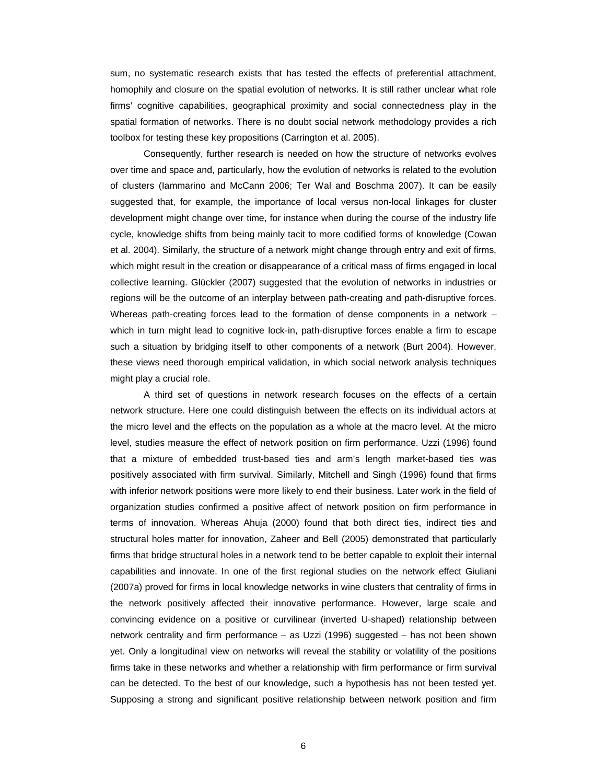sum, no systematic research exists that has tested the effects of preferential attachment, homophily and closure on the spatial evolution of networks. It is still rather unclear what role firms' cognitive capabilities, geographical proximity and social connectedness play in the spatial formation of networks. There is no doubt social network methodology provides a rich toolbox for testing these key propositions (Carrington et al. 2005).

Consequently, further research is needed on how the structure of networks evolves over time and space and, particularly, how the evolution of networks is related to the evolution of clusters (Iammarino and McCann 2006; Ter Wal and Boschma 2007). It can be easily suggested that, for example, the importance of local versus non-local linkages for cluster development might change over time, for instance when during the course of the industry life cycle, knowledge shifts from being mainly tacit to more codified forms of knowledge (Cowan et al. 2004). Similarly, the structure of a network might change through entry and exit of firms, which might result in the creation or disappearance of a critical mass of firms engaged in local collective learning. Glückler (2007) suggested that the evolution of networks in industries or regions will be the outcome of an interplay between path-creating and path-disruptive forces. Whereas path-creating forces lead to the formation of dense components in a network – which in turn might lead to cognitive lock-in, path-disruptive forces enable a firm to escape such a situation by bridging itself to other components of a network (Burt 2004). However, these views need thorough empirical validation, in which social network analysis techniques might play a crucial role.

A third set of questions in network research focuses on the effects of a certain network structure. Here one could distinguish between the effects on its individual actors at the micro level and the effects on the population as a whole at the macro level. At the micro level, studies measure the effect of network position on firm performance. Uzzi (1996) found that a mixture of embedded trust-based ties and arm's length market-based ties was positively associated with firm survival. Similarly, Mitchell and Singh (1996) found that firms with inferior network positions were more likely to end their business. Later work in the field of organization studies confirmed a positive affect of network position on firm performance in terms of innovation. Whereas Ahuja (2000) found that both direct ties, indirect ties and structural holes matter for innovation, Zaheer and Bell (2005) demonstrated that particularly firms that bridge structural holes in a network tend to be better capable to exploit their internal capabilities and innovate. In one of the first regional studies on the network effect Giuliani (2007a) proved for firms in local knowledge networks in wine clusters that centrality of firms in the network positively affected their innovative performance. However, large scale and convincing evidence on a positive or curvilinear (inverted U-shaped) relationship between network centrality and firm performance – as Uzzi (1996) suggested – has not been shown yet. Only a longitudinal view on networks will reveal the stability or volatility of the positions firms take in these networks and whether a relationship with firm performance or firm survival can be detected. To the best of our knowledge, such a hypothesis has not been tested yet. Supposing a strong and significant positive relationship between network position and firm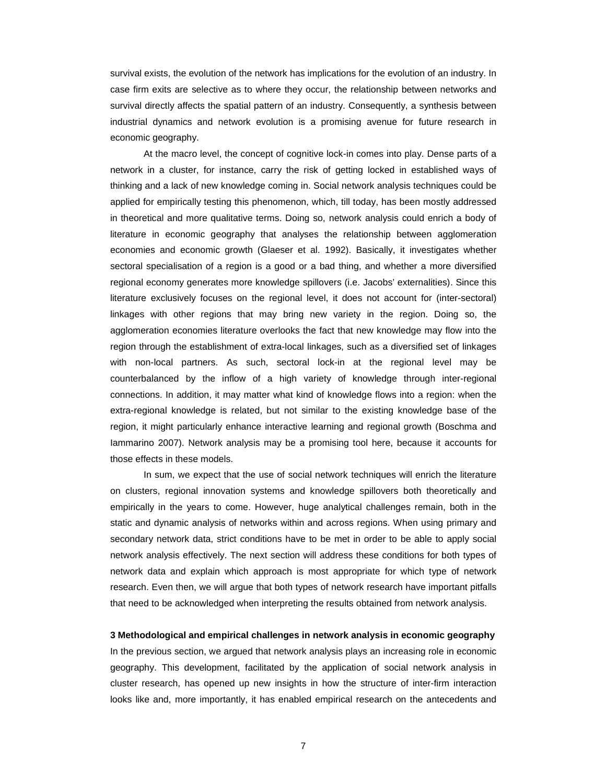survival exists, the evolution of the network has implications for the evolution of an industry. In case firm exits are selective as to where they occur, the relationship between networks and survival directly affects the spatial pattern of an industry. Consequently, a synthesis between industrial dynamics and network evolution is a promising avenue for future research in economic geography.

At the macro level, the concept of cognitive lock-in comes into play. Dense parts of a network in a cluster, for instance, carry the risk of getting locked in established ways of thinking and a lack of new knowledge coming in. Social network analysis techniques could be applied for empirically testing this phenomenon, which, till today, has been mostly addressed in theoretical and more qualitative terms. Doing so, network analysis could enrich a body of literature in economic geography that analyses the relationship between agglomeration economies and economic growth (Glaeser et al. 1992). Basically, it investigates whether sectoral specialisation of a region is a good or a bad thing, and whether a more diversified regional economy generates more knowledge spillovers (i.e. Jacobs' externalities). Since this literature exclusively focuses on the regional level, it does not account for (inter-sectoral) linkages with other regions that may bring new variety in the region. Doing so, the agglomeration economies literature overlooks the fact that new knowledge may flow into the region through the establishment of extra-local linkages, such as a diversified set of linkages with non-local partners. As such, sectoral lock-in at the regional level may be counterbalanced by the inflow of a high variety of knowledge through inter-regional connections. In addition, it may matter what kind of knowledge flows into a region: when the extra-regional knowledge is related, but not similar to the existing knowledge base of the region, it might particularly enhance interactive learning and regional growth (Boschma and Iammarino 2007). Network analysis may be a promising tool here, because it accounts for those effects in these models.

In sum, we expect that the use of social network techniques will enrich the literature on clusters, regional innovation systems and knowledge spillovers both theoretically and empirically in the years to come. However, huge analytical challenges remain, both in the static and dynamic analysis of networks within and across regions. When using primary and secondary network data, strict conditions have to be met in order to be able to apply social network analysis effectively. The next section will address these conditions for both types of network data and explain which approach is most appropriate for which type of network research. Even then, we will argue that both types of network research have important pitfalls that need to be acknowledged when interpreting the results obtained from network analysis.

**3 Methodological and empirical challenges in network analysis in economic geography** In the previous section, we argued that network analysis plays an increasing role in economic geography. This development, facilitated by the application of social network analysis in cluster research, has opened up new insights in how the structure of inter-firm interaction looks like and, more importantly, it has enabled empirical research on the antecedents and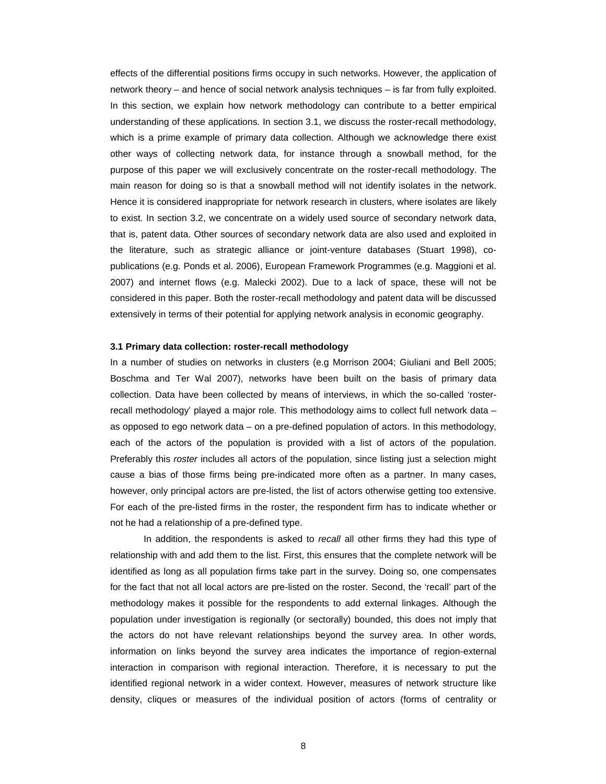effects of the differential positions firms occupy in such networks. However, the application of network theory – and hence of social network analysis techniques – is far from fully exploited. In this section, we explain how network methodology can contribute to a better empirical understanding of these applications. In section 3.1, we discuss the roster-recall methodology, which is a prime example of primary data collection. Although we acknowledge there exist other ways of collecting network data, for instance through a snowball method, for the purpose of this paper we will exclusively concentrate on the roster-recall methodology. The main reason for doing so is that a snowball method will not identify isolates in the network. Hence it is considered inappropriate for network research in clusters, where isolates are likely to exist. In section 3.2, we concentrate on a widely used source of secondary network data, that is, patent data. Other sources of secondary network data are also used and exploited in the literature, such as strategic alliance or joint-venture databases (Stuart 1998), copublications (e.g. Ponds et al. 2006), European Framework Programmes (e.g. Maggioni et al. 2007) and internet flows (e.g. Malecki 2002). Due to a lack of space, these will not be considered in this paper. Both the roster-recall methodology and patent data will be discussed extensively in terms of their potential for applying network analysis in economic geography.

#### **3.1 Primary data collection: roster-recall methodology**

In a number of studies on networks in clusters (e.g Morrison 2004; Giuliani and Bell 2005; Boschma and Ter Wal 2007), networks have been built on the basis of primary data collection. Data have been collected by means of interviews, in which the so-called 'rosterrecall methodology' played a major role. This methodology aims to collect full network data – as opposed to ego network data – on a pre-defined population of actors. In this methodology, each of the actors of the population is provided with a list of actors of the population. Preferably this roster includes all actors of the population, since listing just a selection might cause a bias of those firms being pre-indicated more often as a partner. In many cases, however, only principal actors are pre-listed, the list of actors otherwise getting too extensive. For each of the pre-listed firms in the roster, the respondent firm has to indicate whether or not he had a relationship of a pre-defined type.

In addition, the respondents is asked to recall all other firms they had this type of relationship with and add them to the list. First, this ensures that the complete network will be identified as long as all population firms take part in the survey. Doing so, one compensates for the fact that not all local actors are pre-listed on the roster. Second, the 'recall' part of the methodology makes it possible for the respondents to add external linkages. Although the population under investigation is regionally (or sectorally) bounded, this does not imply that the actors do not have relevant relationships beyond the survey area. In other words, information on links beyond the survey area indicates the importance of region-external interaction in comparison with regional interaction. Therefore, it is necessary to put the identified regional network in a wider context. However, measures of network structure like density, cliques or measures of the individual position of actors (forms of centrality or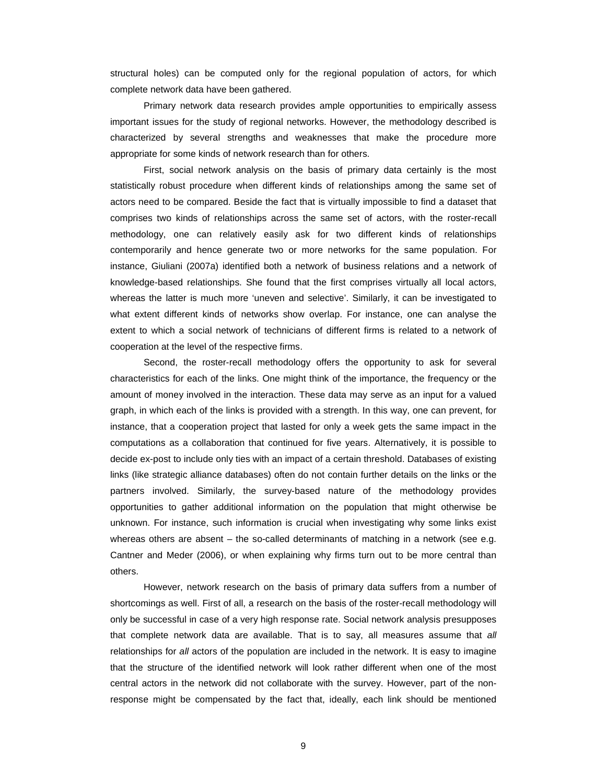structural holes) can be computed only for the regional population of actors, for which complete network data have been gathered.

Primary network data research provides ample opportunities to empirically assess important issues for the study of regional networks. However, the methodology described is characterized by several strengths and weaknesses that make the procedure more appropriate for some kinds of network research than for others.

First, social network analysis on the basis of primary data certainly is the most statistically robust procedure when different kinds of relationships among the same set of actors need to be compared. Beside the fact that is virtually impossible to find a dataset that comprises two kinds of relationships across the same set of actors, with the roster-recall methodology, one can relatively easily ask for two different kinds of relationships contemporarily and hence generate two or more networks for the same population. For instance, Giuliani (2007a) identified both a network of business relations and a network of knowledge-based relationships. She found that the first comprises virtually all local actors, whereas the latter is much more 'uneven and selective'. Similarly, it can be investigated to what extent different kinds of networks show overlap. For instance, one can analyse the extent to which a social network of technicians of different firms is related to a network of cooperation at the level of the respective firms.

Second, the roster-recall methodology offers the opportunity to ask for several characteristics for each of the links. One might think of the importance, the frequency or the amount of money involved in the interaction. These data may serve as an input for a valued graph, in which each of the links is provided with a strength. In this way, one can prevent, for instance, that a cooperation project that lasted for only a week gets the same impact in the computations as a collaboration that continued for five years. Alternatively, it is possible to decide ex-post to include only ties with an impact of a certain threshold. Databases of existing links (like strategic alliance databases) often do not contain further details on the links or the partners involved. Similarly, the survey-based nature of the methodology provides opportunities to gather additional information on the population that might otherwise be unknown. For instance, such information is crucial when investigating why some links exist whereas others are absent – the so-called determinants of matching in a network (see e.g. Cantner and Meder (2006), or when explaining why firms turn out to be more central than others.

However, network research on the basis of primary data suffers from a number of shortcomings as well. First of all, a research on the basis of the roster-recall methodology will only be successful in case of a very high response rate. Social network analysis presupposes that complete network data are available. That is to say, all measures assume that all relationships for all actors of the population are included in the network. It is easy to imagine that the structure of the identified network will look rather different when one of the most central actors in the network did not collaborate with the survey. However, part of the nonresponse might be compensated by the fact that, ideally, each link should be mentioned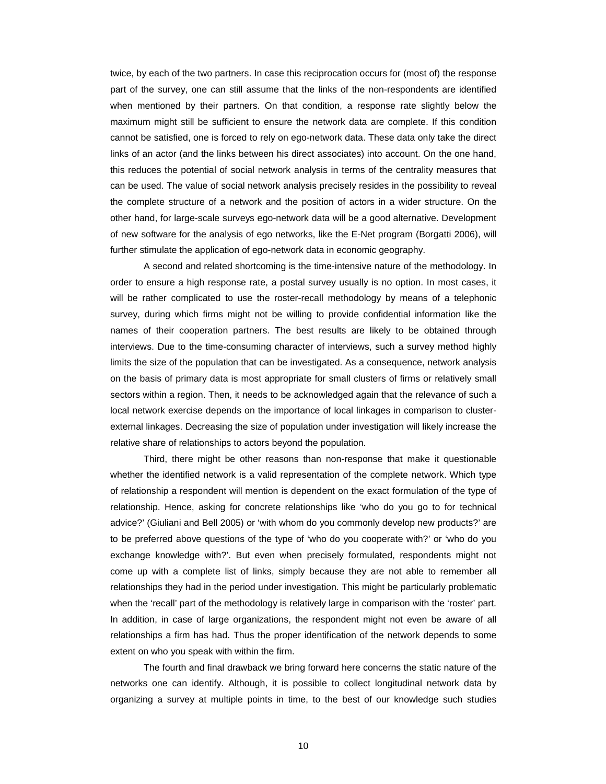twice, by each of the two partners. In case this reciprocation occurs for (most of) the response part of the survey, one can still assume that the links of the non-respondents are identified when mentioned by their partners. On that condition, a response rate slightly below the maximum might still be sufficient to ensure the network data are complete. If this condition cannot be satisfied, one is forced to rely on ego-network data. These data only take the direct links of an actor (and the links between his direct associates) into account. On the one hand, this reduces the potential of social network analysis in terms of the centrality measures that can be used. The value of social network analysis precisely resides in the possibility to reveal the complete structure of a network and the position of actors in a wider structure. On the other hand, for large-scale surveys ego-network data will be a good alternative. Development of new software for the analysis of ego networks, like the E-Net program (Borgatti 2006), will further stimulate the application of ego-network data in economic geography.

A second and related shortcoming is the time-intensive nature of the methodology. In order to ensure a high response rate, a postal survey usually is no option. In most cases, it will be rather complicated to use the roster-recall methodology by means of a telephonic survey, during which firms might not be willing to provide confidential information like the names of their cooperation partners. The best results are likely to be obtained through interviews. Due to the time-consuming character of interviews, such a survey method highly limits the size of the population that can be investigated. As a consequence, network analysis on the basis of primary data is most appropriate for small clusters of firms or relatively small sectors within a region. Then, it needs to be acknowledged again that the relevance of such a local network exercise depends on the importance of local linkages in comparison to clusterexternal linkages. Decreasing the size of population under investigation will likely increase the relative share of relationships to actors beyond the population.

Third, there might be other reasons than non-response that make it questionable whether the identified network is a valid representation of the complete network. Which type of relationship a respondent will mention is dependent on the exact formulation of the type of relationship. Hence, asking for concrete relationships like 'who do you go to for technical advice?' (Giuliani and Bell 2005) or 'with whom do you commonly develop new products?' are to be preferred above questions of the type of 'who do you cooperate with?' or 'who do you exchange knowledge with?'. But even when precisely formulated, respondents might not come up with a complete list of links, simply because they are not able to remember all relationships they had in the period under investigation. This might be particularly problematic when the 'recall' part of the methodology is relatively large in comparison with the 'roster' part. In addition, in case of large organizations, the respondent might not even be aware of all relationships a firm has had. Thus the proper identification of the network depends to some extent on who you speak with within the firm.

The fourth and final drawback we bring forward here concerns the static nature of the networks one can identify. Although, it is possible to collect longitudinal network data by organizing a survey at multiple points in time, to the best of our knowledge such studies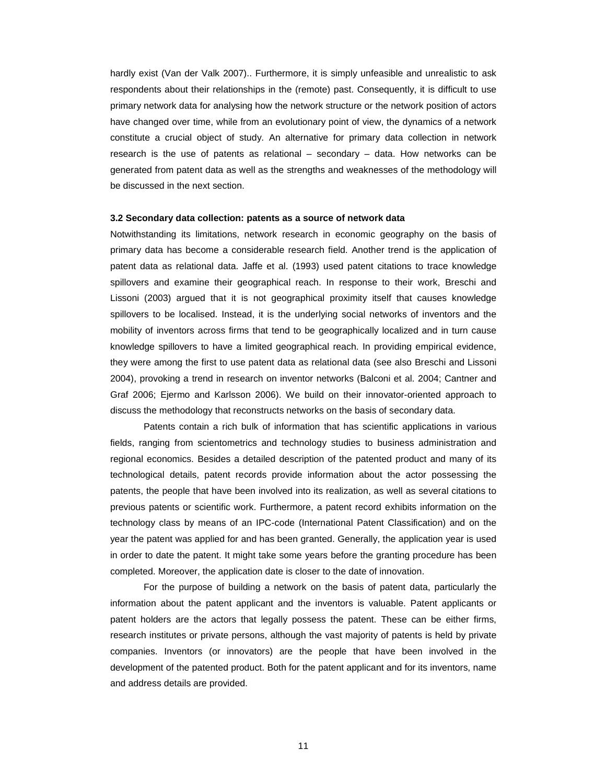hardly exist (Van der Valk 2007).. Furthermore, it is simply unfeasible and unrealistic to ask respondents about their relationships in the (remote) past. Consequently, it is difficult to use primary network data for analysing how the network structure or the network position of actors have changed over time, while from an evolutionary point of view, the dynamics of a network constitute a crucial object of study. An alternative for primary data collection in network research is the use of patents as relational – secondary – data. How networks can be generated from patent data as well as the strengths and weaknesses of the methodology will be discussed in the next section.

#### **3.2 Secondary data collection: patents as a source of network data**

Notwithstanding its limitations, network research in economic geography on the basis of primary data has become a considerable research field. Another trend is the application of patent data as relational data. Jaffe et al. (1993) used patent citations to trace knowledge spillovers and examine their geographical reach. In response to their work, Breschi and Lissoni (2003) argued that it is not geographical proximity itself that causes knowledge spillovers to be localised. Instead, it is the underlying social networks of inventors and the mobility of inventors across firms that tend to be geographically localized and in turn cause knowledge spillovers to have a limited geographical reach. In providing empirical evidence, they were among the first to use patent data as relational data (see also Breschi and Lissoni 2004), provoking a trend in research on inventor networks (Balconi et al. 2004; Cantner and Graf 2006; Ejermo and Karlsson 2006). We build on their innovator-oriented approach to discuss the methodology that reconstructs networks on the basis of secondary data.

Patents contain a rich bulk of information that has scientific applications in various fields, ranging from scientometrics and technology studies to business administration and regional economics. Besides a detailed description of the patented product and many of its technological details, patent records provide information about the actor possessing the patents, the people that have been involved into its realization, as well as several citations to previous patents or scientific work. Furthermore, a patent record exhibits information on the technology class by means of an IPC-code (International Patent Classification) and on the year the patent was applied for and has been granted. Generally, the application year is used in order to date the patent. It might take some years before the granting procedure has been completed. Moreover, the application date is closer to the date of innovation.

For the purpose of building a network on the basis of patent data, particularly the information about the patent applicant and the inventors is valuable. Patent applicants or patent holders are the actors that legally possess the patent. These can be either firms, research institutes or private persons, although the vast majority of patents is held by private companies. Inventors (or innovators) are the people that have been involved in the development of the patented product. Both for the patent applicant and for its inventors, name and address details are provided.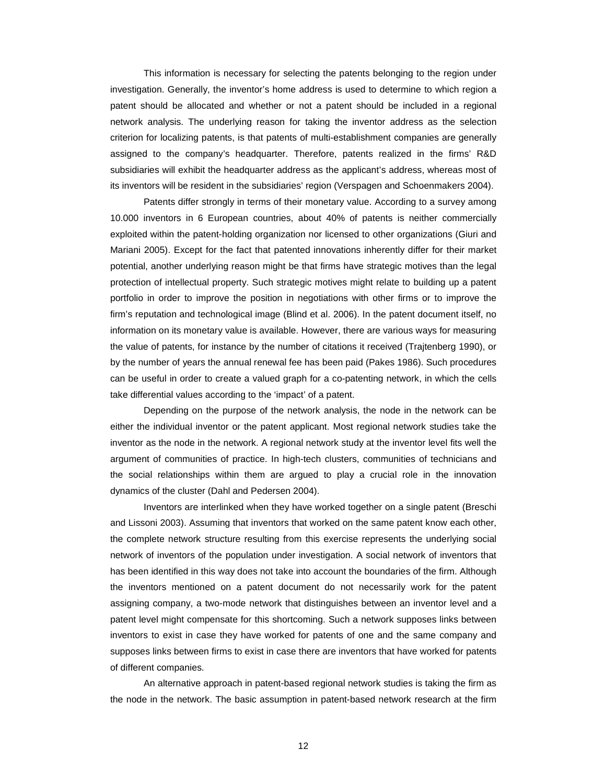This information is necessary for selecting the patents belonging to the region under investigation. Generally, the inventor's home address is used to determine to which region a patent should be allocated and whether or not a patent should be included in a regional network analysis. The underlying reason for taking the inventor address as the selection criterion for localizing patents, is that patents of multi-establishment companies are generally assigned to the company's headquarter. Therefore, patents realized in the firms' R&D subsidiaries will exhibit the headquarter address as the applicant's address, whereas most of its inventors will be resident in the subsidiaries' region (Verspagen and Schoenmakers 2004).

Patents differ strongly in terms of their monetary value. According to a survey among 10.000 inventors in 6 European countries, about 40% of patents is neither commercially exploited within the patent-holding organization nor licensed to other organizations (Giuri and Mariani 2005). Except for the fact that patented innovations inherently differ for their market potential, another underlying reason might be that firms have strategic motives than the legal protection of intellectual property. Such strategic motives might relate to building up a patent portfolio in order to improve the position in negotiations with other firms or to improve the firm's reputation and technological image (Blind et al. 2006). In the patent document itself, no information on its monetary value is available. However, there are various ways for measuring the value of patents, for instance by the number of citations it received (Trajtenberg 1990), or by the number of years the annual renewal fee has been paid (Pakes 1986). Such procedures can be useful in order to create a valued graph for a co-patenting network, in which the cells take differential values according to the 'impact' of a patent.

Depending on the purpose of the network analysis, the node in the network can be either the individual inventor or the patent applicant. Most regional network studies take the inventor as the node in the network. A regional network study at the inventor level fits well the argument of communities of practice. In high-tech clusters, communities of technicians and the social relationships within them are argued to play a crucial role in the innovation dynamics of the cluster (Dahl and Pedersen 2004).

Inventors are interlinked when they have worked together on a single patent (Breschi and Lissoni 2003). Assuming that inventors that worked on the same patent know each other, the complete network structure resulting from this exercise represents the underlying social network of inventors of the population under investigation. A social network of inventors that has been identified in this way does not take into account the boundaries of the firm. Although the inventors mentioned on a patent document do not necessarily work for the patent assigning company, a two-mode network that distinguishes between an inventor level and a patent level might compensate for this shortcoming. Such a network supposes links between inventors to exist in case they have worked for patents of one and the same company and supposes links between firms to exist in case there are inventors that have worked for patents of different companies.

An alternative approach in patent-based regional network studies is taking the firm as the node in the network. The basic assumption in patent-based network research at the firm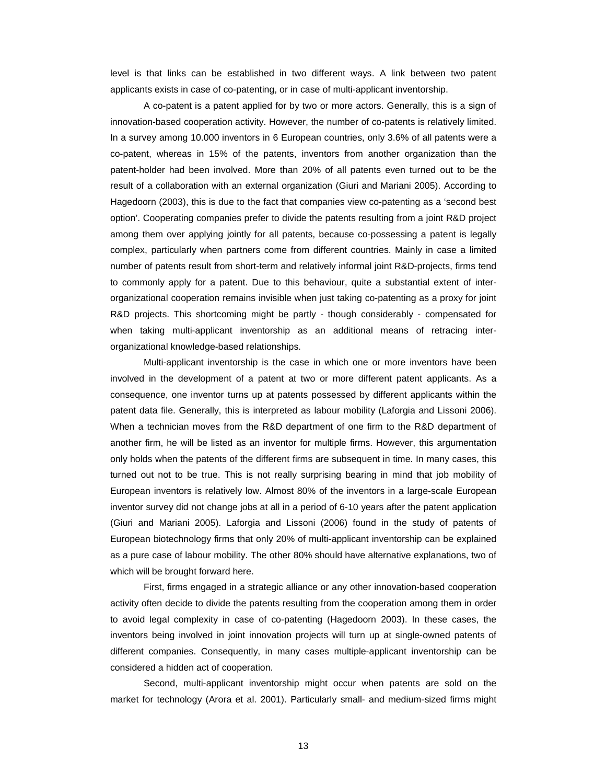level is that links can be established in two different ways. A link between two patent applicants exists in case of co-patenting, or in case of multi-applicant inventorship.

A co-patent is a patent applied for by two or more actors. Generally, this is a sign of innovation-based cooperation activity. However, the number of co-patents is relatively limited. In a survey among 10.000 inventors in 6 European countries, only 3.6% of all patents were a co-patent, whereas in 15% of the patents, inventors from another organization than the patent-holder had been involved. More than 20% of all patents even turned out to be the result of a collaboration with an external organization (Giuri and Mariani 2005). According to Hagedoorn (2003), this is due to the fact that companies view co-patenting as a 'second best option'. Cooperating companies prefer to divide the patents resulting from a joint R&D project among them over applying jointly for all patents, because co-possessing a patent is legally complex, particularly when partners come from different countries. Mainly in case a limited number of patents result from short-term and relatively informal joint R&D-projects, firms tend to commonly apply for a patent. Due to this behaviour, quite a substantial extent of interorganizational cooperation remains invisible when just taking co-patenting as a proxy for joint R&D projects. This shortcoming might be partly - though considerably - compensated for when taking multi-applicant inventorship as an additional means of retracing interorganizational knowledge-based relationships.

Multi-applicant inventorship is the case in which one or more inventors have been involved in the development of a patent at two or more different patent applicants. As a consequence, one inventor turns up at patents possessed by different applicants within the patent data file. Generally, this is interpreted as labour mobility (Laforgia and Lissoni 2006). When a technician moves from the R&D department of one firm to the R&D department of another firm, he will be listed as an inventor for multiple firms. However, this argumentation only holds when the patents of the different firms are subsequent in time. In many cases, this turned out not to be true. This is not really surprising bearing in mind that job mobility of European inventors is relatively low. Almost 80% of the inventors in a large-scale European inventor survey did not change jobs at all in a period of 6-10 years after the patent application (Giuri and Mariani 2005). Laforgia and Lissoni (2006) found in the study of patents of European biotechnology firms that only 20% of multi-applicant inventorship can be explained as a pure case of labour mobility. The other 80% should have alternative explanations, two of which will be brought forward here.

First, firms engaged in a strategic alliance or any other innovation-based cooperation activity often decide to divide the patents resulting from the cooperation among them in order to avoid legal complexity in case of co-patenting (Hagedoorn 2003). In these cases, the inventors being involved in joint innovation projects will turn up at single-owned patents of different companies. Consequently, in many cases multiple-applicant inventorship can be considered a hidden act of cooperation.

Second, multi-applicant inventorship might occur when patents are sold on the market for technology (Arora et al. 2001). Particularly small- and medium-sized firms might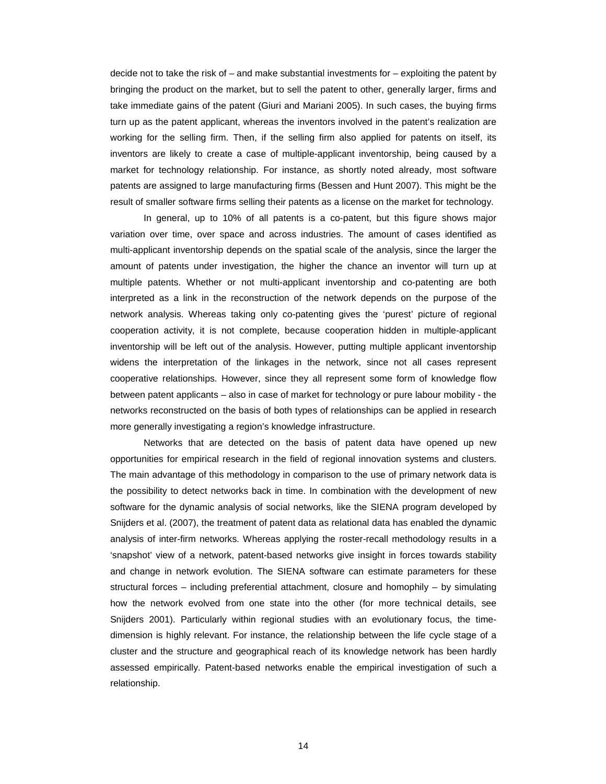decide not to take the risk of – and make substantial investments for – exploiting the patent by bringing the product on the market, but to sell the patent to other, generally larger, firms and take immediate gains of the patent (Giuri and Mariani 2005). In such cases, the buying firms turn up as the patent applicant, whereas the inventors involved in the patent's realization are working for the selling firm. Then, if the selling firm also applied for patents on itself, its inventors are likely to create a case of multiple-applicant inventorship, being caused by a market for technology relationship. For instance, as shortly noted already, most software patents are assigned to large manufacturing firms (Bessen and Hunt 2007). This might be the result of smaller software firms selling their patents as a license on the market for technology.

In general, up to 10% of all patents is a co-patent, but this figure shows major variation over time, over space and across industries. The amount of cases identified as multi-applicant inventorship depends on the spatial scale of the analysis, since the larger the amount of patents under investigation, the higher the chance an inventor will turn up at multiple patents. Whether or not multi-applicant inventorship and co-patenting are both interpreted as a link in the reconstruction of the network depends on the purpose of the network analysis. Whereas taking only co-patenting gives the 'purest' picture of regional cooperation activity, it is not complete, because cooperation hidden in multiple-applicant inventorship will be left out of the analysis. However, putting multiple applicant inventorship widens the interpretation of the linkages in the network, since not all cases represent cooperative relationships. However, since they all represent some form of knowledge flow between patent applicants – also in case of market for technology or pure labour mobility - the networks reconstructed on the basis of both types of relationships can be applied in research more generally investigating a region's knowledge infrastructure.

Networks that are detected on the basis of patent data have opened up new opportunities for empirical research in the field of regional innovation systems and clusters. The main advantage of this methodology in comparison to the use of primary network data is the possibility to detect networks back in time. In combination with the development of new software for the dynamic analysis of social networks, like the SIENA program developed by Snijders et al. (2007), the treatment of patent data as relational data has enabled the dynamic analysis of inter-firm networks. Whereas applying the roster-recall methodology results in a 'snapshot' view of a network, patent-based networks give insight in forces towards stability and change in network evolution. The SIENA software can estimate parameters for these structural forces – including preferential attachment, closure and homophily – by simulating how the network evolved from one state into the other (for more technical details, see Snijders 2001). Particularly within regional studies with an evolutionary focus, the timedimension is highly relevant. For instance, the relationship between the life cycle stage of a cluster and the structure and geographical reach of its knowledge network has been hardly assessed empirically. Patent-based networks enable the empirical investigation of such a relationship.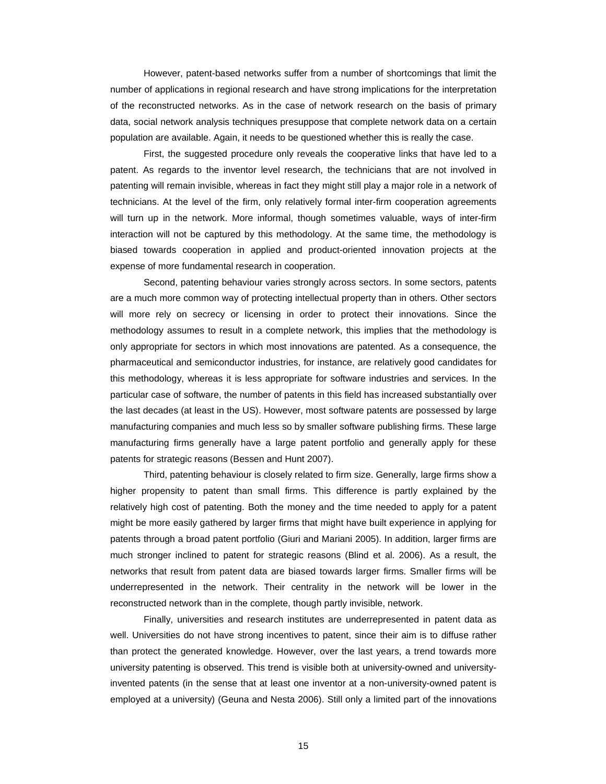However, patent-based networks suffer from a number of shortcomings that limit the number of applications in regional research and have strong implications for the interpretation of the reconstructed networks. As in the case of network research on the basis of primary data, social network analysis techniques presuppose that complete network data on a certain population are available. Again, it needs to be questioned whether this is really the case.

First, the suggested procedure only reveals the cooperative links that have led to a patent. As regards to the inventor level research, the technicians that are not involved in patenting will remain invisible, whereas in fact they might still play a major role in a network of technicians. At the level of the firm, only relatively formal inter-firm cooperation agreements will turn up in the network. More informal, though sometimes valuable, ways of inter-firm interaction will not be captured by this methodology. At the same time, the methodology is biased towards cooperation in applied and product-oriented innovation projects at the expense of more fundamental research in cooperation.

Second, patenting behaviour varies strongly across sectors. In some sectors, patents are a much more common way of protecting intellectual property than in others. Other sectors will more rely on secrecy or licensing in order to protect their innovations. Since the methodology assumes to result in a complete network, this implies that the methodology is only appropriate for sectors in which most innovations are patented. As a consequence, the pharmaceutical and semiconductor industries, for instance, are relatively good candidates for this methodology, whereas it is less appropriate for software industries and services. In the particular case of software, the number of patents in this field has increased substantially over the last decades (at least in the US). However, most software patents are possessed by large manufacturing companies and much less so by smaller software publishing firms. These large manufacturing firms generally have a large patent portfolio and generally apply for these patents for strategic reasons (Bessen and Hunt 2007).

Third, patenting behaviour is closely related to firm size. Generally, large firms show a higher propensity to patent than small firms. This difference is partly explained by the relatively high cost of patenting. Both the money and the time needed to apply for a patent might be more easily gathered by larger firms that might have built experience in applying for patents through a broad patent portfolio (Giuri and Mariani 2005). In addition, larger firms are much stronger inclined to patent for strategic reasons (Blind et al. 2006). As a result, the networks that result from patent data are biased towards larger firms. Smaller firms will be underrepresented in the network. Their centrality in the network will be lower in the reconstructed network than in the complete, though partly invisible, network.

Finally, universities and research institutes are underrepresented in patent data as well. Universities do not have strong incentives to patent, since their aim is to diffuse rather than protect the generated knowledge. However, over the last years, a trend towards more university patenting is observed. This trend is visible both at university-owned and universityinvented patents (in the sense that at least one inventor at a non-university-owned patent is employed at a university) (Geuna and Nesta 2006). Still only a limited part of the innovations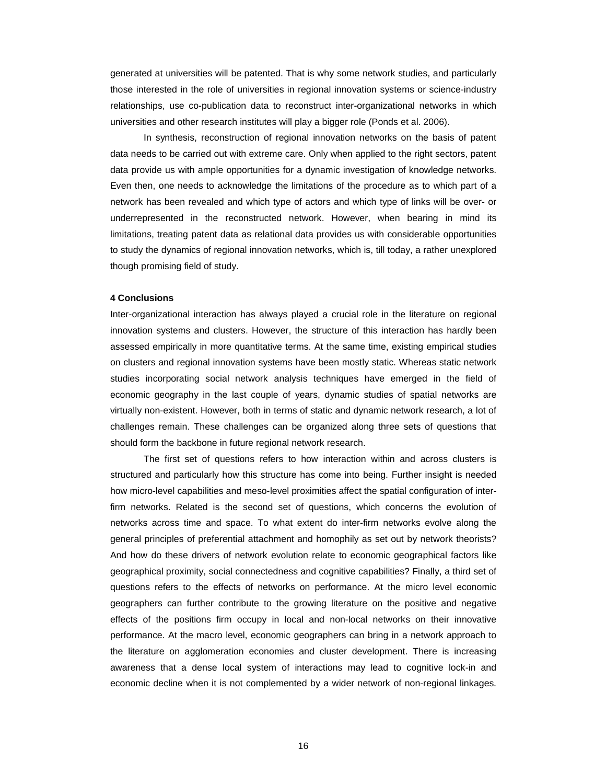generated at universities will be patented. That is why some network studies, and particularly those interested in the role of universities in regional innovation systems or science-industry relationships, use co-publication data to reconstruct inter-organizational networks in which universities and other research institutes will play a bigger role (Ponds et al. 2006).

In synthesis, reconstruction of regional innovation networks on the basis of patent data needs to be carried out with extreme care. Only when applied to the right sectors, patent data provide us with ample opportunities for a dynamic investigation of knowledge networks. Even then, one needs to acknowledge the limitations of the procedure as to which part of a network has been revealed and which type of actors and which type of links will be over- or underrepresented in the reconstructed network. However, when bearing in mind its limitations, treating patent data as relational data provides us with considerable opportunities to study the dynamics of regional innovation networks, which is, till today, a rather unexplored though promising field of study.

### **4 Conclusions**

Inter-organizational interaction has always played a crucial role in the literature on regional innovation systems and clusters. However, the structure of this interaction has hardly been assessed empirically in more quantitative terms. At the same time, existing empirical studies on clusters and regional innovation systems have been mostly static. Whereas static network studies incorporating social network analysis techniques have emerged in the field of economic geography in the last couple of years, dynamic studies of spatial networks are virtually non-existent. However, both in terms of static and dynamic network research, a lot of challenges remain. These challenges can be organized along three sets of questions that should form the backbone in future regional network research.

The first set of questions refers to how interaction within and across clusters is structured and particularly how this structure has come into being. Further insight is needed how micro-level capabilities and meso-level proximities affect the spatial configuration of interfirm networks. Related is the second set of questions, which concerns the evolution of networks across time and space. To what extent do inter-firm networks evolve along the general principles of preferential attachment and homophily as set out by network theorists? And how do these drivers of network evolution relate to economic geographical factors like geographical proximity, social connectedness and cognitive capabilities? Finally, a third set of questions refers to the effects of networks on performance. At the micro level economic geographers can further contribute to the growing literature on the positive and negative effects of the positions firm occupy in local and non-local networks on their innovative performance. At the macro level, economic geographers can bring in a network approach to the literature on agglomeration economies and cluster development. There is increasing awareness that a dense local system of interactions may lead to cognitive lock-in and economic decline when it is not complemented by a wider network of non-regional linkages.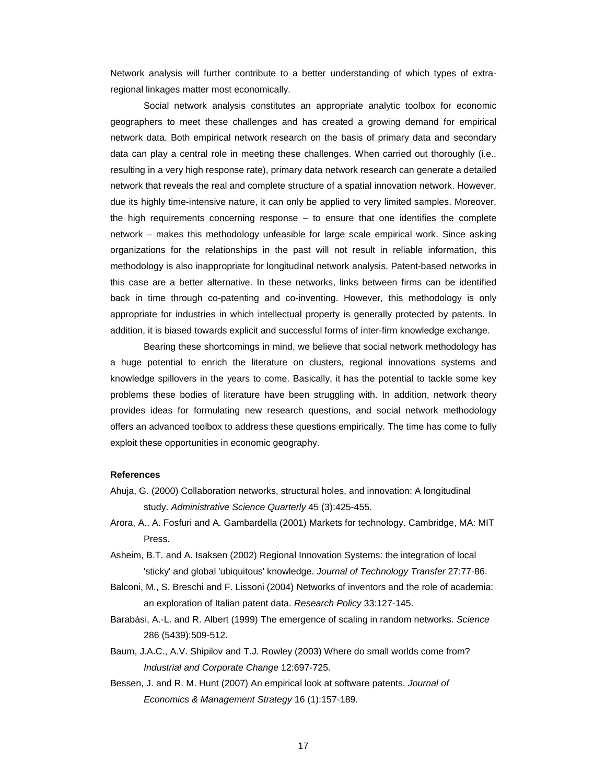Network analysis will further contribute to a better understanding of which types of extraregional linkages matter most economically.

Social network analysis constitutes an appropriate analytic toolbox for economic geographers to meet these challenges and has created a growing demand for empirical network data. Both empirical network research on the basis of primary data and secondary data can play a central role in meeting these challenges. When carried out thoroughly (i.e., resulting in a very high response rate), primary data network research can generate a detailed network that reveals the real and complete structure of a spatial innovation network. However, due its highly time-intensive nature, it can only be applied to very limited samples. Moreover, the high requirements concerning response – to ensure that one identifies the complete network – makes this methodology unfeasible for large scale empirical work. Since asking organizations for the relationships in the past will not result in reliable information, this methodology is also inappropriate for longitudinal network analysis. Patent-based networks in this case are a better alternative. In these networks, links between firms can be identified back in time through co-patenting and co-inventing. However, this methodology is only appropriate for industries in which intellectual property is generally protected by patents. In addition, it is biased towards explicit and successful forms of inter-firm knowledge exchange.

Bearing these shortcomings in mind, we believe that social network methodology has a huge potential to enrich the literature on clusters, regional innovations systems and knowledge spillovers in the years to come. Basically, it has the potential to tackle some key problems these bodies of literature have been struggling with. In addition, network theory provides ideas for formulating new research questions, and social network methodology offers an advanced toolbox to address these questions empirically. The time has come to fully exploit these opportunities in economic geography.

#### **References**

- Ahuja, G. (2000) Collaboration networks, structural holes, and innovation: A longitudinal study. Administrative Science Quarterly 45 (3):425-455.
- Arora, A., A. Fosfuri and A. Gambardella (2001) Markets for technology. Cambridge, MA: MIT Press.
- Asheim, B.T. and A. Isaksen (2002) Regional Innovation Systems: the integration of local 'sticky' and global 'ubiquitous' knowledge. Journal of Technology Transfer 27:77-86.
- Balconi, M., S. Breschi and F. Lissoni (2004) Networks of inventors and the role of academia: an exploration of Italian patent data. Research Policy 33:127-145.
- Barabási, A.-L. and R. Albert (1999) The emergence of scaling in random networks. Science 286 (5439):509-512.
- Baum, J.A.C., A.V. Shipilov and T.J. Rowley (2003) Where do small worlds come from? Industrial and Corporate Change 12:697-725.
- Bessen, J. and R. M. Hunt (2007) An empirical look at software patents. Journal of Economics & Management Strategy 16 (1):157-189.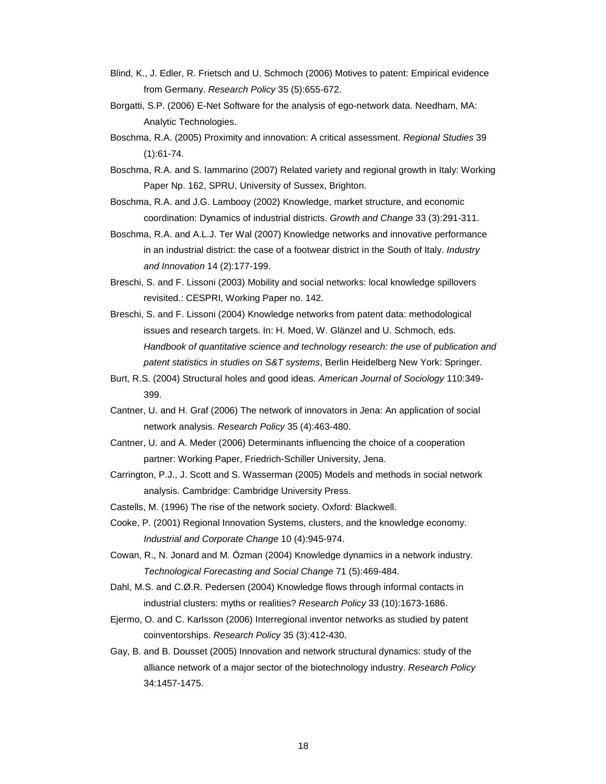- Blind, K., J. Edler, R. Frietsch and U. Schmoch (2006) Motives to patent: Empirical evidence from Germany. Research Policy 35 (5):655-672.
- Borgatti, S.P. (2006) E-Net Software for the analysis of ego-network data. Needham, MA: Analytic Technologies.
- Boschma, R.A. (2005) Proximity and innovation: A critical assessment. Regional Studies 39 (1):61-74.
- Boschma, R.A. and S. Iammarino (2007) Related variety and regional growth in Italy: Working Paper Np. 162, SPRU, University of Sussex, Brighton.
- Boschma, R.A. and J.G. Lambooy (2002) Knowledge, market structure, and economic coordination: Dynamics of industrial districts. Growth and Change 33 (3):291-311.
- Boschma, R.A. and A.L.J. Ter Wal (2007) Knowledge networks and innovative performance in an industrial district: the case of a footwear district in the South of Italy. Industry and Innovation 14 (2):177-199.
- Breschi, S. and F. Lissoni (2003) Mobility and social networks: local knowledge spillovers revisited.: CESPRI, Working Paper no. 142.
- Breschi, S. and F. Lissoni (2004) Knowledge networks from patent data: methodological issues and research targets. In: H. Moed, W. Glänzel and U. Schmoch, eds. Handbook of quantitative science and technology research: the use of publication and patent statistics in studies on S&T systems, Berlin Heidelberg New York: Springer.
- Burt, R.S. (2004) Structural holes and good ideas. American Journal of Sociology 110:349- 399.
- Cantner, U. and H. Graf (2006) The network of innovators in Jena: An application of social network analysis. Research Policy 35 (4):463-480.
- Cantner, U. and A. Meder (2006) Determinants influencing the choice of a cooperation partner: Working Paper, Friedrich-Schiller University, Jena.
- Carrington, P.J., J. Scott and S. Wasserman (2005) Models and methods in social network analysis. Cambridge: Cambridge University Press.
- Castells, M. (1996) The rise of the network society. Oxford: Blackwell.
- Cooke, P. (2001) Regional Innovation Systems, clusters, and the knowledge economy. Industrial and Corporate Change 10 (4):945-974.
- Cowan, R., N. Jonard and M. Özman (2004) Knowledge dynamics in a network industry. Technological Forecasting and Social Change 71 (5):469-484.
- Dahl, M.S. and C.Ø.R. Pedersen (2004) Knowledge flows through informal contacts in industrial clusters: myths or realities? Research Policy 33 (10):1673-1686.
- Ejermo, O. and C. Karlsson (2006) Interregional inventor networks as studied by patent coinventorships. Research Policy 35 (3):412-430.
- Gay, B. and B. Dousset (2005) Innovation and network structural dynamics: study of the alliance network of a major sector of the biotechnology industry. Research Policy 34:1457-1475.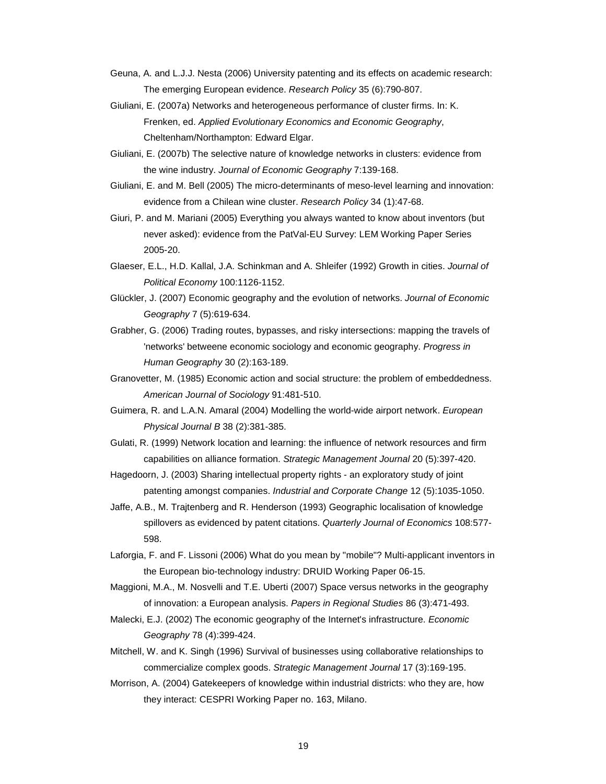- Geuna, A. and L.J.J. Nesta (2006) University patenting and its effects on academic research: The emerging European evidence. Research Policy 35 (6):790-807.
- Giuliani, E. (2007a) Networks and heterogeneous performance of cluster firms. In: K. Frenken, ed. Applied Evolutionary Economics and Economic Geography, Cheltenham/Northampton: Edward Elgar.
- Giuliani, E. (2007b) The selective nature of knowledge networks in clusters: evidence from the wine industry. Journal of Economic Geography 7:139-168.
- Giuliani, E. and M. Bell (2005) The micro-determinants of meso-level learning and innovation: evidence from a Chilean wine cluster. Research Policy 34 (1):47-68.
- Giuri, P. and M. Mariani (2005) Everything you always wanted to know about inventors (but never asked): evidence from the PatVal-EU Survey: LEM Working Paper Series 2005-20.
- Glaeser, E.L., H.D. Kallal, J.A. Schinkman and A. Shleifer (1992) Growth in cities. Journal of Political Economy 100:1126-1152.
- Glückler, J. (2007) Economic geography and the evolution of networks. Journal of Economic Geography 7 (5):619-634.
- Grabher, G. (2006) Trading routes, bypasses, and risky intersections: mapping the travels of 'networks' betweene economic sociology and economic geography. Progress in Human Geography 30 (2):163-189.
- Granovetter, M. (1985) Economic action and social structure: the problem of embeddedness. American Journal of Sociology 91:481-510.
- Guimera, R. and L.A.N. Amaral (2004) Modelling the world-wide airport network. European Physical Journal B 38 (2):381-385.
- Gulati, R. (1999) Network location and learning: the influence of network resources and firm capabilities on alliance formation. Strategic Management Journal 20 (5):397-420.
- Hagedoorn, J. (2003) Sharing intellectual property rights an exploratory study of joint patenting amongst companies. Industrial and Corporate Change 12 (5):1035-1050.
- Jaffe, A.B., M. Trajtenberg and R. Henderson (1993) Geographic localisation of knowledge spillovers as evidenced by patent citations. Quarterly Journal of Economics 108:577- 598.
- Laforgia, F. and F. Lissoni (2006) What do you mean by "mobile"? Multi-applicant inventors in the European bio-technology industry: DRUID Working Paper 06-15.
- Maggioni, M.A., M. Nosvelli and T.E. Uberti (2007) Space versus networks in the geography of innovation: a European analysis. Papers in Regional Studies 86 (3):471-493.
- Malecki, E.J. (2002) The economic geography of the Internet's infrastructure. Economic Geography 78 (4):399-424.
- Mitchell, W. and K. Singh (1996) Survival of businesses using collaborative relationships to commercialize complex goods. Strategic Management Journal 17 (3):169-195.
- Morrison, A. (2004) Gatekeepers of knowledge within industrial districts: who they are, how they interact: CESPRI Working Paper no. 163, Milano.